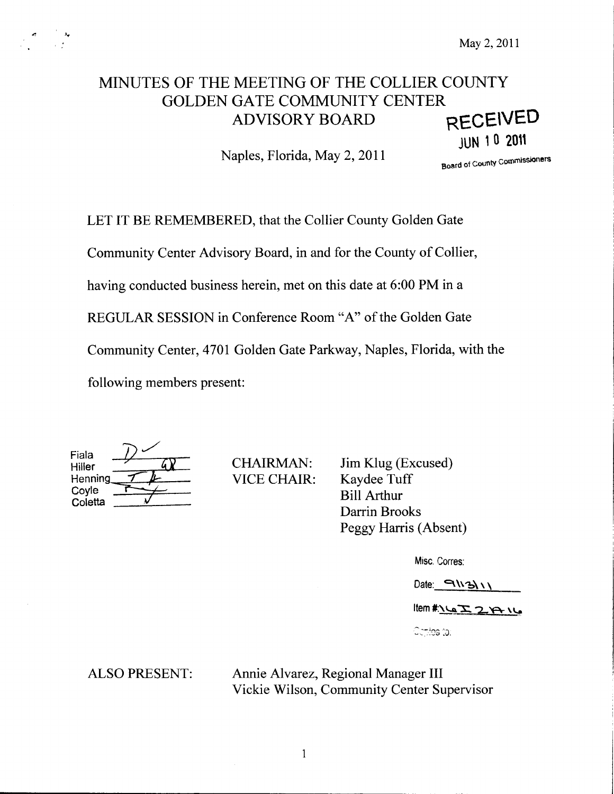# MINUTES OF THE MEETING OF THE COLLIER COUNTY GOLDEN GATE COMMUNITY CENTER ADVISORY BOARD RECEIVED

Naples, Florida, May 2, 2011

Board of County Commissioners

JUN <sup>1</sup> <sup>0</sup> <sup>2011</sup>

LET IT BE REMEMBERED, that the Collier County Golden Gate

Community Center Advisory Board, in and for the County of Collier,

having conducted business herein, met on this date at 6:00 PM in a

REGULAR SESSION in Conference Room "A" of the Golden Gate

Community Center, 4701 Golden Gate Parkway, Naples, Florida, with the

following members present:

| Fiala<br>Hiller |  |
|-----------------|--|
| Henning         |  |
| Coyle           |  |
| Coletta         |  |

CHAIRMAN: VICE CHAIR:

Jim Klug (Excused) Kaydee Tuff Bill Arthur Darrin Brooks Peggy Harris (Absent)

Misc. Corres:

 $Date: \neg \ N3\ \wedge \ \wedge$ 

Item #: 1627 2014

Ochtias (tal.)

ALSO PRESENT: Annie Alvarez, Regional Manager III Vickie Wilson, Community Center Supervisor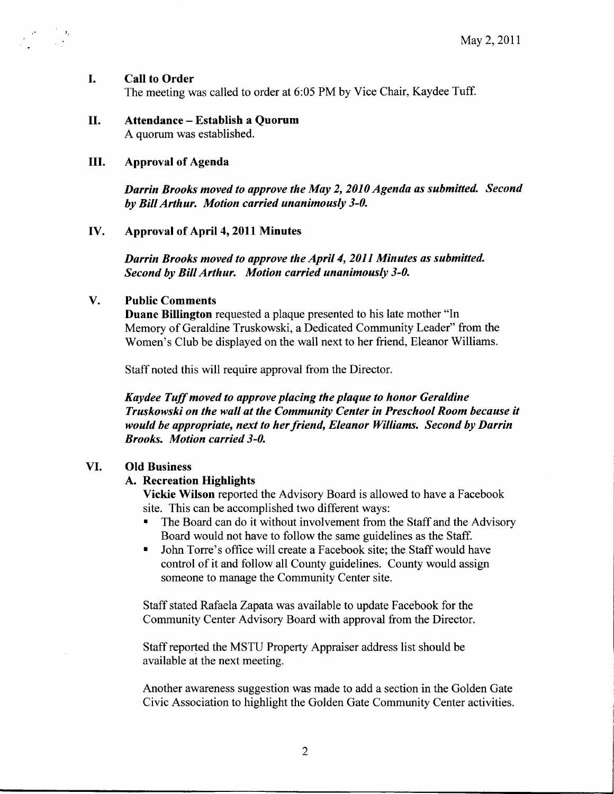#### I. Call to Order

 $\sigma_{\rm{eff}}=\frac{1}{2}\frac{\Delta_{\rm{g}}}{\sigma_{\rm{eff}}}$ 

The meeting was called to order at 6:05 PM by Vice Chair, Kaydee Tuff.

#### II. Attendance - Establish <sup>a</sup> Quorum A quorum was established.

# III. Approval of Agenda

Darrin Brooks moved to approve the May 2, 2010 Agenda as submitted. Second by BillArthur. Motion carried unanimously 3-0.

#### IV. Approval of April 4, 2011 Minutes

Darrin Brooks moved to approve the April 4, 2011 Minutes as submitted. Second by Bill Arthur. Motion carried unanimously 3-0.

#### V. Public Comments

Duane Billington requested <sup>a</sup> plaque presented to his late mother "In Memory of Geraldine Truskowski, <sup>a</sup> Dedicated Community Leader" from the Women's Club be displayed on the wall next to her friend, Eleanor Williams.

Staff noted this will require approval from the Director.

Kaydee Tuff moved to approve placing the plaque to honor Geraldine Truskowski on the wall at the Community Center in Preschool Room because it would be appropriate, next to her friend, Eleanor Williams. Second by Darrin Brooks. Motion carried 3-0.

#### VI. Old Business

#### A. Recreation Highlights

Vickie Wilson reported the Advisory Board is allowed to have <sup>a</sup> Facebook site. This can be accomplished two different ways:

- The Board can do it without involvement from the Staff and the Advisory Board would not have to follow the same guidelines as the Staff.
- John Torre's office will create a Facebook site; the Staff would have  $\blacksquare$ control of it and follow all County guidelines. County would assign someone to manage the Community Center site.

Staff stated Rafaela Zapata was available to update Facebook for the Community Center Advisory Board with approval from the Director.

Staffreported the MSTU Property Appraiser address list should be available at the next meeting.

Another awareness suggestion was made to add a section in the Golden Gate Civic Association to highlight the Golden Gate Community Center activities.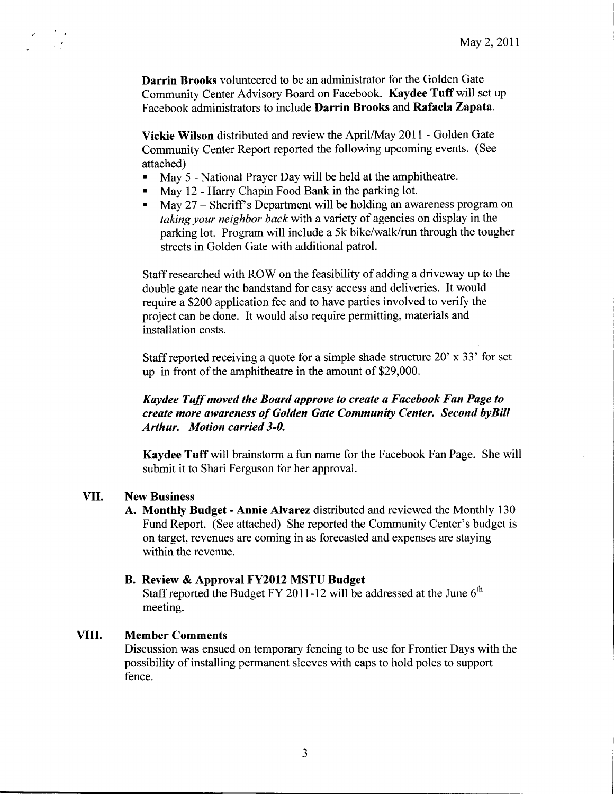Darrin Brooks volunteered to be an administrator for the Golden Gate Community Center Advisory Board on Facebook. Kaydee Tuff will set up Facebook administrators to include Darrin Brooks and Rafaela Zapata.

Vickie Wilson distributed and review the April/May 2011 - Golden Gate Community Center Report reported the following upcoming events. ( See attached)

- May 5 National Prayer Day will be held at the amphitheatre.  $\blacksquare$
- May 12 Harry Chapin Food Bank in the parking lot.  $\blacksquare$
- May 27 Sheriff's Department will be holding an awareness program on taking your neighbor back with <sup>a</sup> variety of agencies on display in the parking lot. Program will include <sup>a</sup> 5k bike/walk/run through the tougher streets in Golden Gate with additional patrol.

Staff researched with ROW on the feasibility of adding <sup>a</sup> driveway up to the double gate near the bandstand for easy access and deliveries. It would require a \$200 application fee and to have parties involved to verify the project can be done. It would also require permitting, materials and installation costs.

Staff reported receiving a quote for a simple shade structure  $20'$  x  $33'$  for set up in front of the amphitheatre in the amount of \$29,000.

# Kaydee Tuff moved the Board approve to create a Facebook Fan Page to create more awareness of Golden Gate Community Center. Second byBill Arthur. Motion carried 3-0.

Kaydee Tuff will brainstorm <sup>a</sup> fun name for the Facebook Fan Page. She will submit it to Shari Ferguson for her approval.

## VII. New Business

A. Monthly Budget - Annie Alvarez distributed and reviewed the Monthly <sup>130</sup> Fund Report. (See attached) She reported the Community Center's budget is on target, revenues are coming in as forecasted and expenses are staying within the revenue.

#### B. Review & Approval FY2012 MSTU Budget

Staff reported the Budget FY 2011-12 will be addressed at the June  $6<sup>th</sup>$ meeting.

# VIII. Member Comments

Discussion was ensued on temporary fencing to be use for Frontier Days with the possibility of installing permanent sleeves with caps to hold poles to support fence.